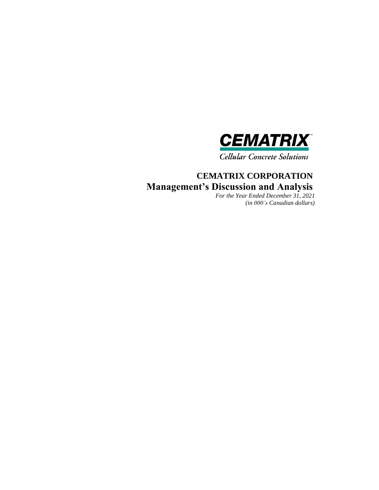

**Cellular Concrete Solutions** 

# **CEMATRIX CORPORATION Management's Discussion and Analysis**

*For the Year Ended December 31, 2021 (in 000's Canadian dollars)*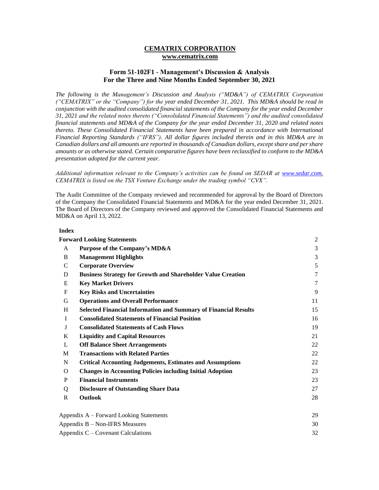#### **CEMATRIX CORPORATION www.cematrix.com**

#### **Form 51-102F1 - Management's Discussion & Analysis For the Three and Nine Months Ended September 30, 2021**

*The following is the Management's Discussion and Analysis ("MD&A") of CEMATRIX Corporation ("CEMATRIX" or the "Company") for the year ended December 31, 2021. This MD&A should be read in conjunction with the audited consolidated financial statements of the Company for the year ended December 31, 2021 and the related notes thereto ("Consolidated Financial Statements") and the audited consolidated financial statements and MD&A of the Company for the year ended December 31, 2020 and related notes thereto. These Consolidated Financial Statements have been prepared in accordance with International Financial Reporting Standards ("IFRS"). All dollar figures included therein and in this MD&A are in Canadian dollars and all amounts are reported in thousands of Canadian dollars, except share and per share amounts or as otherwise stated. Certain comparative figures have been reclassified to conform to the MD&A presentation adopted for the current year.*

#### *Additional information relevant to the Company's activities can be found on SEDAR at [www.sedar.com.](http://www.sedar.com/) CEMATRIX is listed on the TSX Venture Exchange under the trading symbol "CVX".*

The Audit Committee of the Company reviewed and recommended for approval by the Board of Directors of the Company the Consolidated Financial Statements and MD&A for the year ended December 31, 2021. The Board of Directors of the Company reviewed and approved the Consolidated Financial Statements and MD&A on April 13, 2022.

#### **Index**

|               | <b>Forward Looking Statements</b>                                      | 2              |
|---------------|------------------------------------------------------------------------|----------------|
| A             | Purpose of the Company's MD&A                                          | $\overline{3}$ |
| B             | <b>Management Highlights</b>                                           | 3              |
| $\mathcal{C}$ | <b>Corporate Overview</b>                                              | 5              |
| D             | <b>Business Strategy for Growth and Shareholder Value Creation</b>     | $\tau$         |
| E             | <b>Key Market Drivers</b>                                              | $\tau$         |
| $\mathbf F$   | <b>Key Risks and Uncertainties</b>                                     | 9              |
| G             | <b>Operations and Overall Performance</b>                              | 11             |
| H             | <b>Selected Financial Information and Summary of Financial Results</b> | 15             |
| $\mathbf{I}$  | <b>Consolidated Statements of Financial Position</b>                   | 16             |
| J             | <b>Consolidated Statements of Cash Flows</b>                           | 19             |
| K             | <b>Liquidity and Capital Resources</b>                                 | 21             |
| L             | <b>Off Balance Sheet Arrangements</b>                                  | 22             |
| M             | <b>Transactions with Related Parties</b>                               | 22             |
| N             | <b>Critical Accounting Judgements, Estimates and Assumptions</b>       | 22             |
| $\Omega$      | <b>Changes in Accounting Policies including Initial Adoption</b>       | 23             |
| P             | <b>Financial Instruments</b>                                           | 23             |
| Q             | <b>Disclosure of Outstanding Share Data</b>                            | 27             |
| $\mathbb{R}$  | Outlook                                                                | 28             |
|               | Appendix A – Forward Looking Statements                                | 29             |
|               | Appendix B - Non-IFRS Measures                                         | 30             |
|               | Appendix C – Covenant Calculations                                     | 32             |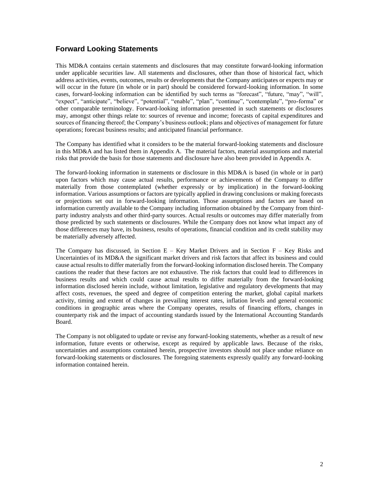### **Forward Looking Statements**

This MD&A contains certain statements and disclosures that may constitute forward-looking information under applicable securities law. All statements and disclosures, other than those of historical fact, which address activities, events, outcomes, results or developments that the Company anticipates or expects may or will occur in the future (in whole or in part) should be considered forward-looking information. In some cases, forward-looking information can be identified by such terms as "forecast", "future, "may", "will", "expect", "anticipate", "believe", "potential", "enable", "plan", "continue", "contemplate", "pro-forma" or other comparable terminology. Forward-looking information presented in such statements or disclosures may, amongst other things relate to: sources of revenue and income; forecasts of capital expenditures and sources of financing thereof; the Company's business outlook; plans and objectives of management for future operations; forecast business results; and anticipated financial performance.

The Company has identified what it considers to be the material forward-looking statements and disclosure in this MD&A and has listed them in Appendix A. The material factors, material assumptions and material risks that provide the basis for those statements and disclosure have also been provided in Appendix A.

The forward-looking information in statements or disclosure in this MD&A is based (in whole or in part) upon factors which may cause actual results, performance or achievements of the Company to differ materially from those contemplated (whether expressly or by implication) in the forward-looking information. Various assumptions or factors are typically applied in drawing conclusions or making forecasts or projections set out in forward-looking information. Those assumptions and factors are based on information currently available to the Company including information obtained by the Company from thirdparty industry analysts and other third-party sources. Actual results or outcomes may differ materially from those predicted by such statements or disclosures. While the Company does not know what impact any of those differences may have, its business, results of operations, financial condition and its credit stability may be materially adversely affected.

The Company has discussed, in Section  $E - Key$  Market Drivers and in Section  $F - Key$  Risks and Uncertainties of its MD&A the significant market drivers and risk factors that affect its business and could cause actual results to differ materially from the forward-looking information disclosed herein. The Company cautions the reader that these factors are not exhaustive. The risk factors that could lead to differences in business results and which could cause actual results to differ materially from the forward-looking information disclosed herein include, without limitation, legislative and regulatory developments that may affect costs, revenues, the speed and degree of competition entering the market, global capital markets activity, timing and extent of changes in prevailing interest rates, inflation levels and general economic conditions in geographic areas where the Company operates, results of financing efforts, changes in counterparty risk and the impact of accounting standards issued by the International Accounting Standards Board.

The Company is not obligated to update or revise any forward-looking statements, whether as a result of new information, future events or otherwise, except as required by applicable laws. Because of the risks, uncertainties and assumptions contained herein, prospective investors should not place undue reliance on forward-looking statements or disclosures. The foregoing statements expressly qualify any forward-looking information contained herein.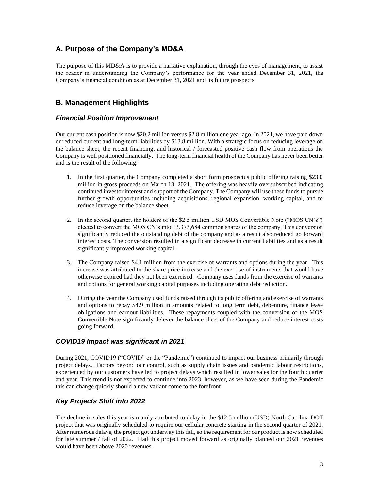### **A. Purpose of the Company's MD&A**

The purpose of this MD&A is to provide a narrative explanation, through the eyes of management, to assist the reader in understanding the Company's performance for the year ended December 31, 2021, the Company's financial condition as at December 31, 2021 and its future prospects.

### **B. Management Highlights**

### *Financial Position Improvement*

Our current cash position is now \$20.2 million versus \$2.8 million one year ago. In 2021, we have paid down or reduced current and long-term liabilities by \$13.8 million. With a strategic focus on reducing leverage on the balance sheet, the recent financing, and historical / forecasted positive cash flow from operations the Company is well positioned financially. The long-term financial health of the Company has never been better and is the result of the following:

- 1. In the first quarter, the Company completed a short form prospectus public offering raising \$23.0 million in gross proceeds on March 18, 2021. The offering was heavily oversubscribed indicating continued investor interest and support of the Company. The Company will use these funds to pursue further growth opportunities including acquisitions, regional expansion, working capital, and to reduce leverage on the balance sheet.
- 2. In the second quarter, the holders of the \$2.5 million USD MOS Convertible Note ("MOS CN's") elected to convert the MOS CN's into 13,373,684 common shares of the company. This conversion significantly reduced the outstanding debt of the company and as a result also reduced go forward interest costs. The conversion resulted in a significant decrease in current liabilities and as a result significantly improved working capital.
- 3. The Company raised \$4.1 million from the exercise of warrants and options during the year. This increase was attributed to the share price increase and the exercise of instruments that would have otherwise expired had they not been exercised. Company uses funds from the exercise of warrants and options for general working capital purposes including operating debt reduction.
- 4. During the year the Company used funds raised through its public offering and exercise of warrants and options to repay \$4.9 million in amounts related to long term debt, debenture, finance lease obligations and earnout liabilities. These repayments coupled with the conversion of the MOS Convertible Note significantly delever the balance sheet of the Company and reduce interest costs going forward.

### *COVID19 Impact was significant in 2021*

During 2021, COVID19 ("COVID" or the "Pandemic") continued to impact our business primarily through project delays. Factors beyond our control, such as supply chain issues and pandemic labour restrictions, experienced by our customers have led to project delays which resulted in lower sales for the fourth quarter and year. This trend is not expected to continue into 2023, however, as we have seen during the Pandemic this can change quickly should a new variant come to the forefront.

### *Key Projects Shift into 2022*

The decline in sales this year is mainly attributed to delay in the \$12.5 million (USD) North Carolina DOT project that was originally scheduled to require our cellular concrete starting in the second quarter of 2021. After numerous delays, the project got underway this fall, so the requirement for our product is now scheduled for late summer / fall of 2022. Had this project moved forward as originally planned our 2021 revenues would have been above 2020 revenues.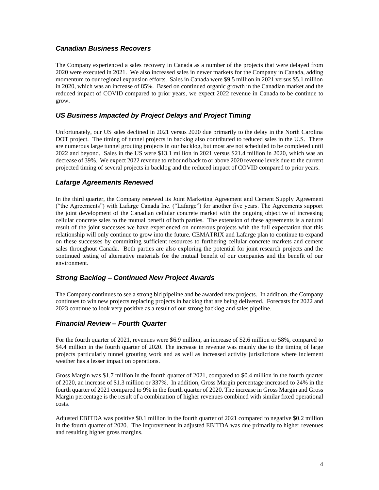### *Canadian Business Recovers*

The Company experienced a sales recovery in Canada as a number of the projects that were delayed from 2020 were executed in 2021. We also increased sales in newer markets for the Company in Canada, adding momentum to our regional expansion efforts. Sales in Canada were \$9.5 million in 2021 versus \$5.1 million in 2020, which was an increase of 85%. Based on continued organic growth in the Canadian market and the reduced impact of COVID compared to prior years, we expect 2022 revenue in Canada to be continue to grow.

### *US Business Impacted by Project Delays and Project Timing*

Unfortunately, our US sales declined in 2021 versus 2020 due primarily to the delay in the North Carolina DOT project. The timing of tunnel projects in backlog also contributed to reduced sales in the U.S. There are numerous large tunnel grouting projects in our backlog, but most are not scheduled to be completed until 2022 and beyond. Sales in the US were \$13.1 million in 2021 versus \$21.4 million in 2020, which was an decrease of 39%. We expect 2022 revenue to rebound back to or above 2020 revenue levels due to the current projected timing of several projects in backlog and the reduced impact of COVID compared to prior years.

### *Lafarge Agreements Renewed*

In the third quarter, the Company renewed its Joint Marketing Agreement and Cement Supply Agreement ("the Agreements") with Lafarge Canada Inc. ("Lafarge") for another five years. The Agreements support the joint development of the Canadian cellular concrete market with the ongoing objective of increasing cellular concrete sales to the mutual benefit of both parties. The extension of these agreements is a natural result of the joint successes we have experienced on numerous projects with the full expectation that this relationship will only continue to grow into the future. CEMATRIX and Lafarge plan to continue to expand on these successes by committing sufficient resources to furthering cellular concrete markets and cement sales throughout Canada. Both parties are also exploring the potential for joint research projects and the continued testing of alternative materials for the mutual benefit of our companies and the benefit of our environment.

### *Strong Backlog – Continued New Project Awards*

The Company continues to see a strong bid pipeline and be awarded new projects. In addition, the Company continues to win new projects replacing projects in backlog that are being delivered. Forecasts for 2022 and 2023 continue to look very positive as a result of our strong backlog and sales pipeline.

### *Financial Review – Fourth Quarter*

For the fourth quarter of 2021, revenues were \$6.9 million, an increase of \$2.6 million or 58%, compared to \$4.4 million in the fourth quarter of 2020. The increase in revenue was mainly due to the timing of large projects particularly tunnel grouting work and as well as increased activity jurisdictions where inclement weather has a lesser impact on operations.

Gross Margin was \$1.7 million in the fourth quarter of 2021, compared to \$0.4 million in the fourth quarter of 2020, an increase of \$1.3 million or 337%. In addition, Gross Margin percentage increased to 24% in the fourth quarter of 2021 compared to 9% in the fourth quarter of 2020. The increase in Gross Margin and Gross Margin percentage is the result of a combination of higher revenues combined with similar fixed operational costs.

Adjusted EBITDA was positive \$0.1 million in the fourth quarter of 2021 compared to negative \$0.2 million in the fourth quarter of 2020. The improvement in adjusted EBITDA was due primarily to higher revenues and resulting higher gross margins.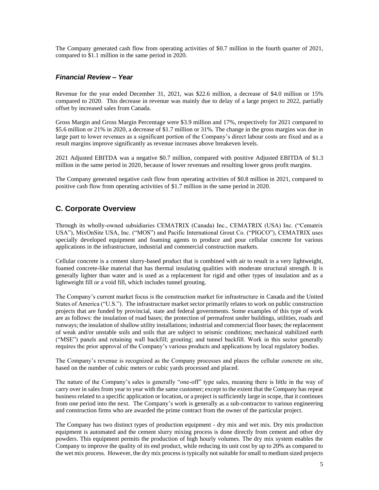The Company generated cash flow from operating activities of \$0.7 million in the fourth quarter of 2021, compared to \$1.1 million in the same period in 2020.

#### *Financial Review – Year*

Revenue for the year ended December 31, 2021, was \$22.6 million, a decrease of \$4.0 million or 15% compared to 2020. This decrease in revenue was mainly due to delay of a large project to 2022, partially offset by increased sales from Canada.

Gross Margin and Gross Margin Percentage were \$3.9 million and 17%, respectively for 2021 compared to \$5.6 million or 21% in 2020, a decrease of \$1.7 million or 31%. The change in the gross margins was due in large part to lower revenues as a significant portion of the Company's direct labour costs are fixed and as a result margins improve significantly as revenue increases above breakeven levels.

2021 Adjusted EBITDA was a negative \$0.7 million, compared with positive Adjusted EBITDA of \$1.3 million in the same period in 2020, because of lower revenues and resulting lower gross profit margins.

The Company generated negative cash flow from operating activities of \$0.8 million in 2021, compared to positive cash flow from operating activities of \$1.7 million in the same period in 2020.

### **C. Corporate Overview**

Through its wholly-owned subsidiaries CEMATRIX (Canada) Inc., CEMATRIX (USA) Inc. ("Cematrix USA"), MixOnSite USA, Inc. ("MOS") and Pacific International Grout Co. ("PIGCO"), CEMATRIX uses specially developed equipment and foaming agents to produce and pour cellular concrete for various applications in the infrastructure, industrial and commercial construction markets.

Cellular concrete is a cement slurry-based product that is combined with air to result in a very lightweight, foamed concrete-like material that has thermal insulating qualities with moderate structural strength. It is generally lighter than water and is used as a replacement for rigid and other types of insulation and as a lightweight fill or a void fill, which includes tunnel grouting.

The Company's current market focus is the construction market for infrastructure in Canada and the United States of America ("U.S."). The infrastructure market sector primarily relates to work on public construction projects that are funded by provincial, state and federal governments. Some examples of this type of work are as follows: the insulation of road bases; the protection of permafrost under buildings, utilities, roads and runways; the insulation of shallow utility installations; industrial and commercial floor bases; the replacement of weak and/or unstable soils and soils that are subject to seismic conditions; mechanical stabilized earth ("MSE") panels and retaining wall backfill; grouting; and tunnel backfill. Work in this sector generally requires the prior approval of the Company's various products and applications by local regulatory bodies.

The Company's revenue is recognized as the Company processes and places the cellular concrete on site, based on the number of cubic meters or cubic yards processed and placed.

The nature of the Company's sales is generally "one-off" type sales, meaning there is little in the way of carry over in sales from year to year with the same customer; except to the extent that the Company has repeat business related to a specific application or location, or a project is sufficiently large in scope, that it continues from one period into the next. The Company's work is generally as a sub-contractor to various engineering and construction firms who are awarded the prime contract from the owner of the particular project.

The Company has two distinct types of production equipment - dry mix and wet mix. Dry mix production equipment is automated and the cement slurry mixing process is done directly from cement and other dry powders. This equipment permits the production of high hourly volumes. The dry mix system enables the Company to improve the quality of its end product, while reducing its unit cost by up to 20% as compared to the wet mix process. However, the dry mix process is typically not suitable for small to medium sized projects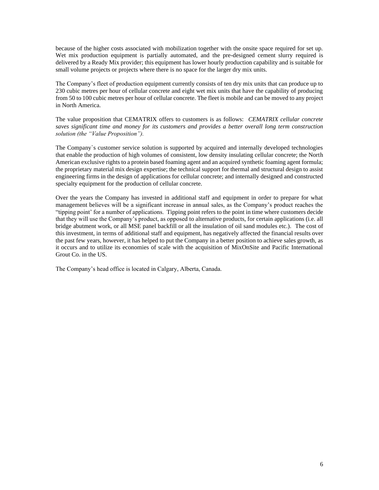because of the higher costs associated with mobilization together with the onsite space required for set up. Wet mix production equipment is partially automated, and the pre-designed cement slurry required is delivered by a Ready Mix provider; this equipment has lower hourly production capability and is suitable for small volume projects or projects where there is no space for the larger dry mix units.

The Company's fleet of production equipment currently consists of ten dry mix units that can produce up to 230 cubic metres per hour of cellular concrete and eight wet mix units that have the capability of producing from 50 to 100 cubic metres per hour of cellular concrete. The fleet is mobile and can be moved to any project in North America.

The value proposition that CEMATRIX offers to customers is as follows: *CEMATRIX cellular concrete saves significant time and money for its customers and provides a better overall long term construction solution (the "Value Proposition").*

The Company`s customer service solution is supported by acquired and internally developed technologies that enable the production of high volumes of consistent, low density insulating cellular concrete; the North American exclusive rights to a protein based foaming agent and an acquired synthetic foaming agent formula; the proprietary material mix design expertise; the technical support for thermal and structural design to assist engineering firms in the design of applications for cellular concrete; and internally designed and constructed specialty equipment for the production of cellular concrete.

Over the years the Company has invested in additional staff and equipment in order to prepare for what management believes will be a significant increase in annual sales, as the Company's product reaches the "tipping point' for a number of applications. Tipping point refers to the point in time where customers decide that they will use the Company's product, as opposed to alternative products, for certain applications (i.e. all bridge abutment work, or all MSE panel backfill or all the insulation of oil sand modules etc.). The cost of this investment, in terms of additional staff and equipment, has negatively affected the financial results over the past few years, however, it has helped to put the Company in a better position to achieve sales growth, as it occurs and to utilize its economies of scale with the acquisition of MixOnSite and Pacific International Grout Co. in the US.

The Company's head office is located in Calgary, Alberta, Canada.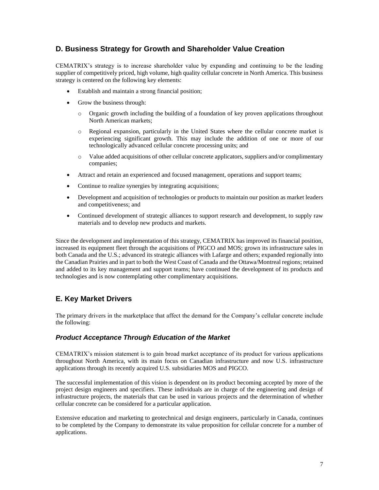### **D. Business Strategy for Growth and Shareholder Value Creation**

CEMATRIX's strategy is to increase shareholder value by expanding and continuing to be the leading supplier of competitively priced, high volume, high quality cellular concrete in North America. This business strategy is centered on the following key elements:

- Establish and maintain a strong financial position;
- Grow the business through:
	- o Organic growth including the building of a foundation of key proven applications throughout North American markets;
	- o Regional expansion, particularly in the United States where the cellular concrete market is experiencing significant growth. This may include the addition of one or more of our technologically advanced cellular concrete processing units; and
	- o Value added acquisitions of other cellular concrete applicators, suppliers and/or complimentary companies;
- Attract and retain an experienced and focused management, operations and support teams;
- Continue to realize synergies by integrating acquisitions;
- Development and acquisition of technologies or products to maintain our position as market leaders and competitiveness; and
- Continued development of strategic alliances to support research and development, to supply raw materials and to develop new products and markets.

Since the development and implementation of this strategy, CEMATRIX has improved its financial position, increased its equipment fleet through the acquisitions of PIGCO and MOS; grown its infrastructure sales in both Canada and the U.S.; advanced its strategic alliances with Lafarge and others; expanded regionally into the Canadian Prairies and in part to both the West Coast of Canada and the Ottawa/Montreal regions; retained and added to its key management and support teams; have continued the development of its products and technologies and is now contemplating other complimentary acquisitions.

## **E. Key Market Drivers**

The primary drivers in the marketplace that affect the demand for the Company's cellular concrete include the following:

### *Product Acceptance Through Education of the Market*

CEMATRIX's mission statement is to gain broad market acceptance of its product for various applications throughout North America, with its main focus on Canadian infrastructure and now U.S. infrastructure applications through its recently acquired U.S. subsidiaries MOS and PIGCO.

The successful implementation of this vision is dependent on its product becoming accepted by more of the project design engineers and specifiers. These individuals are in charge of the engineering and design of infrastructure projects, the materials that can be used in various projects and the determination of whether cellular concrete can be considered for a particular application.

Extensive education and marketing to geotechnical and design engineers, particularly in Canada, continues to be completed by the Company to demonstrate its value proposition for cellular concrete for a number of applications.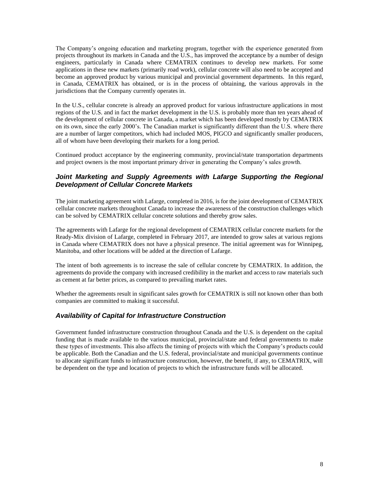The Company's ongoing education and marketing program, together with the experience generated from projects throughout its markets in Canada and the U.S., has improved the acceptance by a number of design engineers, particularly in Canada where CEMATRIX continues to develop new markets. For some applications in these new markets (primarily road work), cellular concrete will also need to be accepted and become an approved product by various municipal and provincial government departments. In this regard, in Canada, CEMATRIX has obtained, or is in the process of obtaining, the various approvals in the jurisdictions that the Company currently operates in.

In the U.S., cellular concrete is already an approved product for various infrastructure applications in most regions of the U.S. and in fact the market development in the U.S. is probably more than ten years ahead of the development of cellular concrete in Canada, a market which has been developed mostly by CEMATRIX on its own, since the early 2000's. The Canadian market is significantly different than the U.S. where there are a number of larger competitors, which had included MOS, PIGCO and significantly smaller producers, all of whom have been developing their markets for a long period.

Continued product acceptance by the engineering community, provincial/state transportation departments and project owners is the most important primary driver in generating the Company's sales growth.

### Joint Marketing and Supply Agreements with Lafarge Supporting the Regional *Development of Cellular Concrete Markets*

The joint marketing agreement with Lafarge, completed in 2016, is for the joint development of CEMATRIX cellular concrete markets throughout Canada to increase the awareness of the construction challenges which can be solved by CEMATRIX cellular concrete solutions and thereby grow sales.

The agreements with Lafarge for the regional development of CEMATRIX cellular concrete markets for the Ready-Mix division of Lafarge, completed in February 2017, are intended to grow sales at various regions in Canada where CEMATRIX does not have a physical presence. The initial agreement was for Winnipeg, Manitoba, and other locations will be added at the direction of Lafarge.

The intent of both agreements is to increase the sale of cellular concrete by CEMATRIX. In addition, the agreements do provide the company with increased credibility in the market and access to raw materials such as cement at far better prices, as compared to prevailing market rates.

Whether the agreements result in significant sales growth for CEMATRIX is still not known other than both companies are committed to making it successful.

### *Availability of Capital for Infrastructure Construction*

Government funded infrastructure construction throughout Canada and the U.S. is dependent on the capital funding that is made available to the various municipal, provincial/state and federal governments to make these types of investments. This also affects the timing of projects with which the Company's products could be applicable. Both the Canadian and the U.S. federal, provincial/state and municipal governments continue to allocate significant funds to infrastructure construction, however, the benefit, if any, to CEMATRIX, will be dependent on the type and location of projects to which the infrastructure funds will be allocated.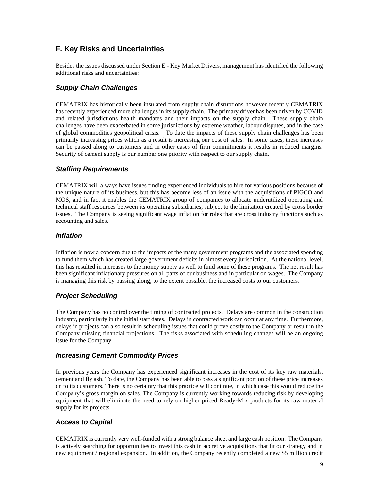### **F. Key Risks and Uncertainties**

Besides the issues discussed under Section E - Key Market Drivers, management has identified the following additional risks and uncertainties:

### *Supply Chain Challenges*

CEMATRIX has historically been insulated from supply chain disruptions however recently CEMATRIX has recently experienced more challenges in its supply chain. The primary driver has been driven by COVID and related jurisdictions health mandates and their impacts on the supply chain. These supply chain challenges have been exacerbated in some jurisdictions by extreme weather, labour disputes, and in the case of global commodities geopolitical crisis. To date the impacts of these supply chain challenges has been primarily increasing prices which as a result is increasing our cost of sales. In some cases, these increases can be passed along to customers and in other cases of firm commitments it results in reduced margins. Security of cement supply is our number one priority with respect to our supply chain.

### *Staffing Requirements*

CEMATRIX will always have issues finding experienced individuals to hire for various positions because of the unique nature of its business, but this has become less of an issue with the acquisitions of PIGCO and MOS, and in fact it enables the CEMATRIX group of companies to allocate underutilized operating and technical staff resources between its operating subsidiaries, subject to the limitation created by cross border issues. The Company is seeing significant wage inflation for roles that are cross industry functions such as accounting and sales.

### *Inflation*

Inflation is now a concern due to the impacts of the many government programs and the associated spending to fund them which has created large government deficits in almost every jurisdiction. At the national level, this has resulted in increases to the money supply as well to fund some of these programs. The net result has been significant inflationary pressures on all parts of our business and in particular on wages. The Company is managing this risk by passing along, to the extent possible, the increased costs to our customers.

### *Project Scheduling*

The Company has no control over the timing of contracted projects. Delays are common in the construction industry, particularly in the initial start dates. Delays in contracted work can occur at any time. Furthermore, delays in projects can also result in scheduling issues that could prove costly to the Company or result in the Company missing financial projections. The risks associated with scheduling changes will be an ongoing issue for the Company.

### *Increasing Cement Commodity Prices*

In previous years the Company has experienced significant increases in the cost of its key raw materials, cement and fly ash. To date, the Company has been able to pass a significant portion of these price increases on to its customers. There is no certainty that this practice will continue, in which case this would reduce the Company's gross margin on sales. The Company is currently working towards reducing risk by developing equipment that will eliminate the need to rely on higher priced Ready-Mix products for its raw material supply for its projects.

### *Access to Capital*

CEMATRIX is currently very well-funded with a strong balance sheet and large cash position. The Company is actively searching for opportunities to invest this cash in accretive acquisitions that fit our strategy and in new equipment / regional expansion. In addition, the Company recently completed a new \$5 million credit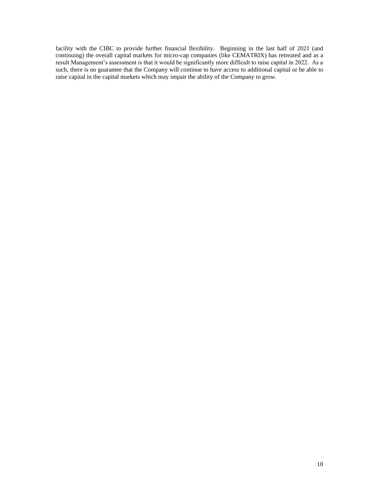facility with the CIBC to provide further financial flexibility. Beginning in the last half of 2021 (and continuing) the overall capital markets for micro-cap companies (like CEMATRIX) has retreated and as a result Management's assessment is that it would be significantly more difficult to raise capital in 2022. As a such, there is no guarantee that the Company will continue to have access to additional capital or be able to raise capital in the capital markets which may impair the ability of the Company to grow.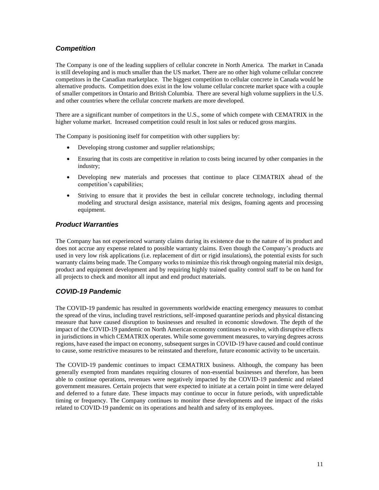### *Competition*

The Company is one of the leading suppliers of cellular concrete in North America. The market in Canada is still developing and is much smaller than the US market. There are no other high volume cellular concrete competitors in the Canadian marketplace. The biggest competition to cellular concrete in Canada would be alternative products. Competition does exist in the low volume cellular concrete market space with a couple of smaller competitors in Ontario and British Columbia. There are several high volume suppliers in the U.S. and other countries where the cellular concrete markets are more developed.

There are a significant number of competitors in the U.S., some of which compete with CEMATRIX in the higher volume market. Increased competition could result in lost sales or reduced gross margins.

The Company is positioning itself for competition with other suppliers by:

- Developing strong customer and supplier relationships;
- Ensuring that its costs are competitive in relation to costs being incurred by other companies in the industry;
- Developing new materials and processes that continue to place CEMATRIX ahead of the competition's capabilities;
- Striving to ensure that it provides the best in cellular concrete technology, including thermal modeling and structural design assistance, material mix designs, foaming agents and processing equipment.

### *Product Warranties*

The Company has not experienced warranty claims during its existence due to the nature of its product and does not accrue any expense related to possible warranty claims. Even though the Company's products are used in very low risk applications (i.e. replacement of dirt or rigid insulations), the potential exists for such warranty claims being made. The Company works to minimize this risk through ongoing material mix design, product and equipment development and by requiring highly trained quality control staff to be on hand for all projects to check and monitor all input and end product materials.

### *COVID-19 Pandemic*

The COVID-19 pandemic has resulted in governments worldwide enacting emergency measures to combat the spread of the virus, including travel restrictions, self-imposed quarantine periods and physical distancing measure that have caused disruption to businesses and resulted in economic slowdown. The depth of the impact of the COVID-19 pandemic on North American economy continues to evolve, with disruptive effects in jurisdictions in which CEMATRIX operates. While some government measures, to varying degrees across regions, have eased the impact on economy, subsequent surges in COVID-19 have caused and could continue to cause, some restrictive measures to be reinstated and therefore, future economic activity to be uncertain.

The COVID-19 pandemic continues to impact CEMATRIX business. Although, the company has been generally exempted from mandates requiring closures of non-essential businesses and therefore, has been able to continue operations, revenues were negatively impacted by the COVID-19 pandemic and related government measures. Certain projects that were expected to initiate at a certain point in time were delayed and deferred to a future date. These impacts may continue to occur in future periods, with unpredictable timing or frequency. The Company continues to monitor these developments and the impact of the risks related to COVID-19 pandemic on its operations and health and safety of its employees.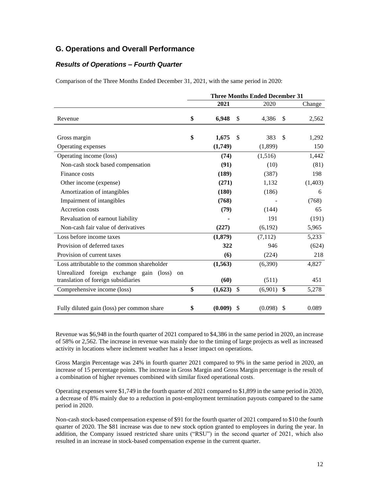### **G. Operations and Overall Performance**

### *Results of Operations – Fourth Quarter*

Comparison of the Three Months Ended December 31, 2021, with the same period in 2020:

|                                                                                                  | <b>Three Months Ended December 31</b> |    |         |               |         |
|--------------------------------------------------------------------------------------------------|---------------------------------------|----|---------|---------------|---------|
|                                                                                                  | 2021                                  |    | 2020    |               | Change  |
| Revenue                                                                                          | \$<br>6,948                           | \$ | 4,386   | \$            | 2,562   |
| Gross margin                                                                                     | \$<br>1,675                           | \$ | 383     | \$            | 1,292   |
| Operating expenses                                                                               | (1,749)                               |    | (1,899) |               | 150     |
| Operating income (loss)                                                                          | (74)                                  |    | (1,516) |               | 1,442   |
| Non-cash stock based compensation                                                                | (91)                                  |    | (10)    |               | (81)    |
| Finance costs                                                                                    | (189)                                 |    | (387)   |               | 198     |
| Other income (expense)                                                                           | (271)                                 |    | 1,132   |               | (1,403) |
| Amortization of intangibles                                                                      | (180)                                 |    | (186)   |               | 6       |
| Impairment of intangibles                                                                        | (768)                                 |    |         |               | (768)   |
| Accretion costs                                                                                  | (79)                                  |    | (144)   |               | 65      |
| Revaluation of earnout liability                                                                 |                                       |    | 191     |               | (191)   |
| Non-cash fair value of derivatives                                                               | (227)                                 |    | (6,192) |               | 5,965   |
| Loss before income taxes                                                                         | (1,879)                               |    | (7,112) |               | 5,233   |
| Provision of deferred taxes                                                                      | 322                                   |    | 946     |               | (624)   |
| Provision of current taxes                                                                       | (6)                                   |    | (224)   |               | 218     |
| Loss attributable to the common shareholder                                                      | (1, 563)                              |    | (6,390) |               | 4,827   |
| Unrealized foreign exchange gain<br>$(\text{loss})$<br>on<br>translation of foreign subsidiaries | (60)                                  |    | (511)   |               | 451     |
| Comprehensive income (loss)                                                                      | \$<br>$(1,623)$ \$                    |    | (6,901) | \$            | 5,278   |
| Fully diluted gain (loss) per common share                                                       | \$<br>(0.009)                         | \$ | (0.098) | $\mathcal{S}$ | 0.089   |

Revenue was \$6,948 in the fourth quarter of 2021 compared to \$4,386 in the same period in 2020, an increase of 58% or 2,562. The increase in revenue was mainly due to the timing of large projects as well as increased activity in locations where inclement weather has a lesser impact on operations.

Gross Margin Percentage was 24% in fourth quarter 2021 compared to 9% in the same period in 2020, an increase of 15 percentage points. The increase in Gross Margin and Gross Margin percentage is the result of a combination of higher revenues combined with similar fixed operational costs.

Operating expenses were \$1,749 in the fourth quarter of 2021 compared to \$1,899 in the same period in 2020, a decrease of 8% mainly due to a reduction in post-employment termination payouts compared to the same period in 2020.

Non-cash stock-based compensation expense of \$91 for the fourth quarter of 2021 compared to \$10 the fourth quarter of 2020. The \$81 increase was due to new stock option granted to employees in during the year. In addition, the Company issued restricted share units ("RSU") in the second quarter of 2021, which also resulted in an increase in stock-based compensation expense in the current quarter.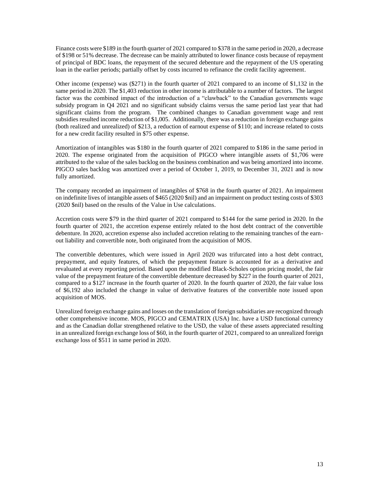Finance costs were \$189 in the fourth quarter of 2021 compared to \$378 in the same period in 2020, a decrease of \$198 or 51% decrease. The decrease can be mainly attributed to lower finance costs because of repayment of principal of BDC loans, the repayment of the secured debenture and the repayment of the US operating loan in the earlier periods; partially offset by costs incurred to refinance the credit facility agreement.

Other income (expense) was (\$271) in the fourth quarter of 2021 compared to an income of \$1,132 in the same period in 2020. The \$1,403 reduction in other income is attributable to a number of factors. The largest factor was the combined impact of the introduction of a "clawback" to the Canadian governments wage subsidy program in Q4 2021 and no significant subsidy claims versus the same period last year that had significant claims from the program. The combined changes to Canadian government wage and rent subsidies resulted income reduction of \$1,005. Additionally, there was a reduction in foreign exchange gains (both realized and unrealized) of \$213, a reduction of earnout expense of \$110; and increase related to costs for a new credit facility resulted in \$75 other expense.

Amortization of intangibles was \$180 in the fourth quarter of 2021 compared to \$186 in the same period in 2020. The expense originated from the acquisition of PIGCO where intangible assets of \$1,706 were attributed to the value of the sales backlog on the business combination and was being amortized into income. PIGCO sales backlog was amortized over a period of October 1, 2019, to December 31, 2021 and is now fully amortized.

The company recorded an impairment of intangibles of \$768 in the fourth quarter of 2021. An impairment on indefinite lives of intangible assets of \$465 (2020 \$nil) and an impairment on product testing costs of \$303 (2020 \$nil) based on the results of the Value in Use calculations.

Accretion costs were \$79 in the third quarter of 2021 compared to \$144 for the same period in 2020. In the fourth quarter of 2021, the accretion expense entirely related to the host debt contract of the convertible debenture. In 2020, accretion expense also included accretion relating to the remaining tranches of the earnout liability and convertible note, both originated from the acquisition of MOS.

The convertible debentures, which were issued in April 2020 was trifurcated into a host debt contract, prepayment, and equity features, of which the prepayment feature is accounted for as a derivative and revaluated at every reporting period. Based upon the modified Black-Scholes option pricing model, the fair value of the prepayment feature of the convertible debenture decreased by \$227 in the fourth quarter of 2021, compared to a \$127 increase in the fourth quarter of 2020. In the fourth quarter of 2020, the fair value loss of \$6,192 also included the change in value of derivative features of the convertible note issued upon acquisition of MOS.

Unrealized foreign exchange gains and losses on the translation of foreign subsidiaries are recognized through other comprehensive income. MOS, PIGCO and CEMATRIX (USA) Inc. have a USD functional currency and as the Canadian dollar strengthened relative to the USD, the value of these assets appreciated resulting in an unrealized foreign exchange loss of \$60, in the fourth quarter of 2021, compared to an unrealized foreign exchange loss of \$511 in same period in 2020.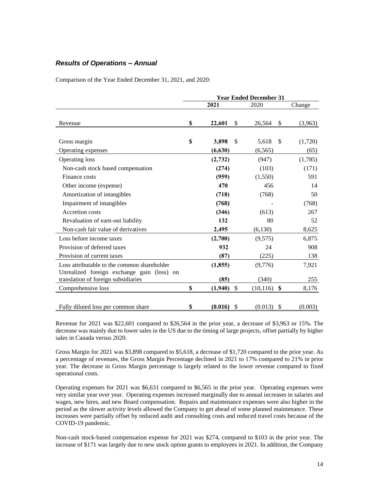### *Results of Operations – Annual*

Comparison of the Year Ended December 31, 2021, and 2020:

|                                             | <b>Year Ended December 31</b> |          |    |           |               |         |
|---------------------------------------------|-------------------------------|----------|----|-----------|---------------|---------|
|                                             |                               | 2021     |    | 2020      |               | Change  |
|                                             |                               |          |    |           |               |         |
| Revenue                                     | \$                            | 22,601   | \$ | 26,564    | \$            | (3,963) |
|                                             |                               |          |    |           |               |         |
| Gross margin                                | \$                            | 3,898    | \$ | 5,618     | $\mathbb{S}$  | (1,720) |
| Operating expenses                          |                               | (6,630)  |    | (6, 565)  |               | (65)    |
| Operating loss                              |                               | (2,732)  |    | (947)     |               | (1,785) |
| Non-cash stock based compensation           |                               | (274)    |    | (103)     |               | (171)   |
| Finance costs                               |                               | (959)    |    | (1,550)   |               | 591     |
| Other income (expense)                      |                               | 470      |    | 456       |               | 14      |
| Amortization of intangibles                 |                               | (718)    |    | (768)     |               | 50      |
| Impairment of intangibles                   |                               | (768)    |    |           |               | (768)   |
| Accretion costs                             |                               | (346)    |    | (613)     |               | 267     |
| Revaluation of earn-out liability           |                               | 132      |    | 80        |               | 52      |
| Non-cash fair value of derivatives          |                               | 2,495    |    | (6,130)   |               | 8,625   |
| Loss before income taxes                    |                               | (2,700)  |    | (9,575)   |               | 6,875   |
| Provision of deferred taxes                 |                               | 932      |    | 24        |               | 908     |
| Provision of current taxes                  |                               | (87)     |    | (225)     |               | 138     |
| Loss attributable to the common shareholder |                               | (1, 855) |    | (9,776)   |               | 7,921   |
| Unrealized foreign exchange gain (loss) on  |                               |          |    |           |               |         |
| translation of foreign subsidiaries         |                               | (85)     |    | (340)     |               | 255     |
| Comprehensive loss                          | \$                            | (1,940)  | \$ | (10, 116) | \$            | 8,176   |
|                                             |                               |          |    |           |               |         |
| Fully diluted loss per common share         | \$                            | (0.016)  | \$ | (0.013)   | $\mathcal{S}$ | (0.003) |

Revenue for 2021 was \$22,601 compared to \$26,564 in the prior year, a decrease of \$3,963 or 15%. The decrease was mainly due to lower sales in the US due to the timing of large projects, offset partially by higher sales in Canada versus 2020.

Gross Margin for 2021 was \$3,898 compared to \$5,618, a decrease of \$1,720 compared to the prior year. As a percentage of revenues, the Gross Margin Percentage declined in 2021 to 17% compared to 21% in prior year. The decrease in Gross Margin percentage is largely related to the lower revenue compared to fixed operational costs.

Operating expenses for 2021 was \$6,631 compared to \$6,565 in the prior year. Operating expenses were very similar year over year. Operating expenses increased marginally due to annual increases in salaries and wages, new hires, and new Board compensation. Repairs and maintenance expenses were also higher in the period as the slower activity levels allowed the Company to get ahead of some planned maintenance. These increases were partially offset by reduced audit and consulting costs and reduced travel costs because of the COVID-19 pandemic.

Non-cash stock-based compensation expense for 2021 was \$274, compared to \$103 in the prior year. The increase of \$171 was largely due to new stock option grants to employees in 2021. In addition, the Company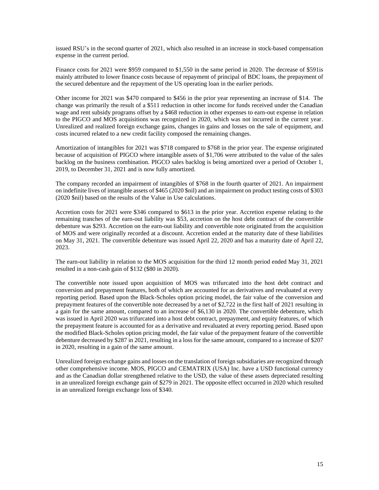issued RSU's in the second quarter of 2021, which also resulted in an increase in stock-based compensation expense in the current period.

Finance costs for 2021 were \$959 compared to \$1,550 in the same period in 2020. The decrease of \$591is mainly attributed to lower finance costs because of repayment of principal of BDC loans, the prepayment of the secured debenture and the repayment of the US operating loan in the earlier periods.

Other income for 2021 was \$470 compared to \$456 in the prior year representing an increase of \$14. The change was primarily the result of a \$511 reduction in other income for funds received under the Canadian wage and rent subsidy programs offset by a \$468 reduction in other expenses to earn-out expense in relation to the PIGCO and MOS acquisitions was recognized in 2020, which was not incurred in the current year. Unrealized and realized foreign exchange gains, changes in gains and losses on the sale of equipment, and costs incurred related to a new credit facility composed the remaining changes.

Amortization of intangibles for 2021 was \$718 compared to \$768 in the prior year. The expense originated because of acquisition of PIGCO where intangible assets of \$1,706 were attributed to the value of the sales backlog on the business combination. PIGCO sales backlog is being amortized over a period of October 1, 2019, to December 31, 2021 and is now fully amortized.

The company recorded an impairment of intangibles of \$768 in the fourth quarter of 2021. An impairment on indefinite lives of intangible assets of \$465 (2020 \$nil) and an impairment on product testing costs of \$303 (2020 \$nil) based on the results of the Value in Use calculations.

Accretion costs for 2021 were \$346 compared to \$613 in the prior year. Accretion expense relating to the remaining tranches of the earn-out liability was \$53, accretion on the host debt contract of the convertible debenture was \$293. Accretion on the earn-out liability and convertible note originated from the acquisition of MOS and were originally recorded at a discount. Accretion ended at the maturity date of these liabilities on May 31, 2021. The convertible debenture was issued April 22, 2020 and has a maturity date of April 22, 2023.

The earn-out liability in relation to the MOS acquisition for the third 12 month period ended May 31, 2021 resulted in a non-cash gain of \$132 (\$80 in 2020).

The convertible note issued upon acquisition of MOS was trifurcated into the host debt contract and conversion and prepayment features, both of which are accounted for as derivatives and revaluated at every reporting period. Based upon the Black-Scholes option pricing model, the fair value of the conversion and prepayment features of the convertible note decreased by a net of \$2,722 in the first half of 2021 resulting in a gain for the same amount, compared to an increase of \$6,130 in 2020. The convertible debenture, which was issued in April 2020 was trifurcated into a host debt contract, prepayment, and equity features, of which the prepayment feature is accounted for as a derivative and revaluated at every reporting period. Based upon the modified Black-Scholes option pricing model, the fair value of the prepayment feature of the convertible debenture decreased by \$287 in 2021, resulting in a loss for the same amount, compared to a increase of \$207 in 2020, resulting in a gain of the same amount.

Unrealized foreign exchange gains and losses on the translation of foreign subsidiaries are recognized through other comprehensive income. MOS, PIGCO and CEMATRIX (USA) Inc. have a USD functional currency and as the Canadian dollar strengthened relative to the USD, the value of these assets depreciated resulting in an unrealized foreign exchange gain of \$279 in 2021. The opposite effect occurred in 2020 which resulted in an unrealized foreign exchange loss of \$340.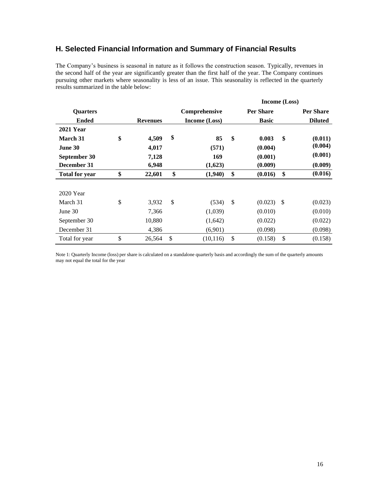### **H. Selected Financial Information and Summary of Financial Results**

The Company's business is seasonal in nature as it follows the construction season. Typically, revenues in the second half of the year are significantly greater than the first half of the year. The Company continues pursuing other markets where seasonality is less of an issue. This seasonality is reflected in the quarterly results summarized in the table below:

|                       |                 |                      | Income (Loss)    |               |                  |
|-----------------------|-----------------|----------------------|------------------|---------------|------------------|
| <b>Quarters</b>       |                 | Comprehensive        | <b>Per Share</b> |               | <b>Per Share</b> |
| <b>Ended</b>          | <b>Revenues</b> | <b>Income (Loss)</b> | <b>Basic</b>     |               | <b>Diluted</b>   |
| <b>2021 Year</b>      |                 |                      |                  |               |                  |
| March 31              | \$<br>4,509     | \$<br>85             | \$<br>0.003      | \$            | (0.011)          |
| June 30               | 4,017           | (571)                | (0.004)          |               | (0.004)          |
| September 30          | 7,128           | 169                  | (0.001)          |               | (0.001)          |
| December 31           | 6,948           | (1,623)              | (0.009)          |               | (0.009)          |
| <b>Total for year</b> | \$<br>22,601    | \$<br>(1,940)        | \$<br>(0.016)    | \$            | (0.016)          |
|                       |                 |                      |                  |               |                  |
| 2020 Year             |                 |                      |                  |               |                  |
| March 31              | \$<br>3,932     | \$<br>(534)          | \$<br>(0.023)    | $\mathcal{S}$ | (0.023)          |
| June $30$             | 7,366           | (1,039)              | (0.010)          |               | (0.010)          |
| September 30          | 10,880          | (1,642)              | (0.022)          |               | (0.022)          |
| December 31           | 4,386           | (6,901)              | (0.098)          |               | (0.098)          |
| Total for year        | \$<br>26,564    | \$<br>(10, 116)      | \$<br>(0.158)    | <sup>\$</sup> | (0.158)          |

Note 1: Quarterly Income (loss) per share is calculated on a standalone quarterly basis and accordingly the sum of the quarterly amounts may not equal the total for the year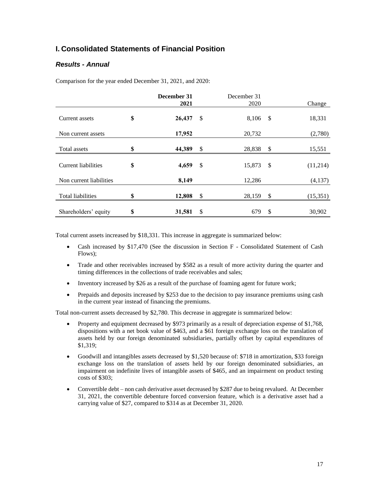### **I. Consolidated Statements of Financial Position**

### *Results - Annual*

Comparison for the year ended December 31, 2021, and 2020:

|                         | December 31<br>2021 | December 31<br>2020 |               | Change   |
|-------------------------|---------------------|---------------------|---------------|----------|
| Current assets          | \$<br>26,437        | \$<br>8,106 \$      |               | 18,331   |
| Non current assets      | 17,952              | 20,732              |               | (2,780)  |
| Total assets            | \$<br>44,389        | \$<br>28,838 \$     |               | 15,551   |
| Current liabilities     | \$<br>4,659         | \$<br>15,873        | $\mathcal{S}$ | (11,214) |
| Non current liabilities | 8,149               | 12,286              |               | (4,137)  |
| Total liabilities       | \$<br>12,808        | \$<br>28,159        | \$            | (15,351) |
| Shareholders' equity    | \$<br>31,581        | \$<br>679           | \$            | 30,902   |

Total current assets increased by \$18,331. This increase in aggregate is summarized below:

- Cash increased by \$17,470 (See the discussion in Section F Consolidated Statement of Cash Flows);
- Trade and other receivables increased by \$582 as a result of more activity during the quarter and timing differences in the collections of trade receivables and sales;
- Inventory increased by \$26 as a result of the purchase of foaming agent for future work;
- Prepaids and deposits increased by \$253 due to the decision to pay insurance premiums using cash in the current year instead of financing the premiums.

Total non-current assets decreased by \$2,780. This decrease in aggregate is summarized below:

- Property and equipment decreased by \$973 primarily as a result of depreciation expense of \$1,768, dispositions with a net book value of \$463, and a \$61 foreign exchange loss on the translation of assets held by our foreign denominated subsidiaries, partially offset by capital expenditures of \$1,319;
- Goodwill and intangibles assets decreased by \$1,520 because of: \$718 in amortization, \$33 foreign exchange loss on the translation of assets held by our foreign denominated subsidiaries, an impairment on indefinite lives of intangible assets of \$465, and an impairment on product testing costs of \$303;
- Convertible debt non cash derivative asset decreased by \$287 due to being revalued. At December 31, 2021, the convertible debenture forced conversion feature, which is a derivative asset had a carrying value of \$27, compared to \$314 as at December 31, 2020.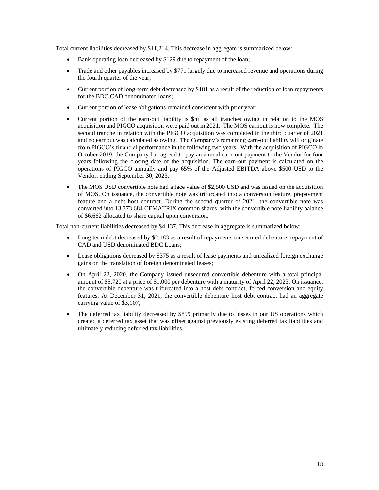Total current liabilities decreased by \$11,214. This decrease in aggregate is summarized below:

- Bank operating loan decreased by \$129 due to repayment of the loan;
- Trade and other payables increased by \$771 largely due to increased revenue and operations during the fourth quarter of the year;
- Current portion of long-term debt decreased by \$181 as a result of the reduction of loan repayments for the BDC CAD denominated loans;
- Current portion of lease obligations remained consistent with prior year;
- Current portion of the earn-out liability is \$nil as all tranches owing in relation to the MOS acquisition and PIGCO acquisition were paid out in 2021. The MOS earnout is now complete. The second tranche in relation with the PIGCO acquisition was completed in the third quarter of 2021 and no earnout was calculated as owing. The Company's remaining earn-out liability will originate from PIGCO's financial performance in the following two years. With the acquisition of PIGCO in October 2019, the Company has agreed to pay an annual earn-out payment to the Vendor for four years following the closing date of the acquisition. The earn-out payment is calculated on the operations of PIGCO annually and pay 65% of the Adjusted EBITDA above \$500 USD to the Vendor, ending September 30, 2023.
- The MOS USD convertible note had a face value of \$2,500 USD and was issued on the acquisition of MOS. On issuance, the convertible note was trifurcated into a conversion feature, prepayment feature and a debt host contract. During the second quarter of 2021, the convertible note was converted into 13,373,684 CEMATRIX common shares, with the convertible note liability balance of \$6,662 allocated to share capital upon conversion.

Total non-current liabilities decreased by \$4,137. This decrease in aggregate is summarized below:

- Long term debt decreased by \$2,183 as a result of repayments on secured debenture, repayment of CAD and USD denominated BDC Loans;
- Lease obligations decreased by \$375 as a result of lease payments and unrealized foreign exchange gains on the translation of foreign denominated leases;
- On April 22, 2020, the Company issued unsecured convertible debenture with a total principal amount of \$5,720 at a price of \$1,000 per debenture with a maturity of April 22, 2023. On issuance, the convertible debenture was trifurcated into a host debt contract, forced conversion and equity features. At December 31, 2021, the convertible debenture host debt contract had an aggregate carrying value of \$3,107;
- The deferred tax liability decreased by \$899 primarily due to losses in our US operations which created a deferred tax asset that was offset against previously existing deferred tax liabilities and ultimately reducing deferred tax liabilities.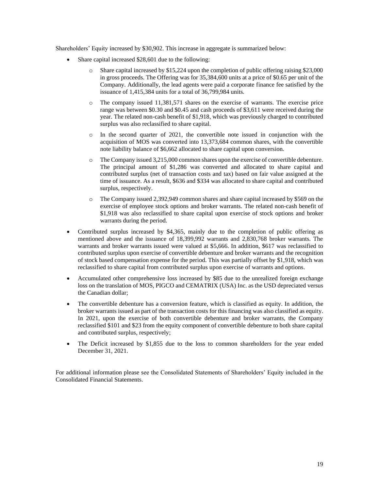Shareholders' Equity increased by \$30,902. This increase in aggregate is summarized below:

- Share capital increased \$28,601 due to the following:
	- o Share capital increased by \$15,224 upon the completion of public offering raising \$23,000 in gross proceeds. The Offering was for 35,384,600 units at a price of \$0.65 per unit of the Company. Additionally, the lead agents were paid a corporate finance fee satisfied by the issuance of 1,415,384 units for a total of 36,799,984 units.
	- o The company issued 11,381,571 shares on the exercise of warrants. The exercise price range was between \$0.30 and \$0.45 and cash proceeds of \$3,611 were received during the year. The related non-cash benefit of \$1,918, which was previously charged to contributed surplus was also reclassified to share capital.
	- o In the second quarter of 2021, the convertible note issued in conjunction with the acquisition of MOS was converted into 13,373,684 common shares, with the convertible note liability balance of \$6,662 allocated to share capital upon conversion.
	- o The Company issued 3,215,000 common shares upon the exercise of convertible debenture. The principal amount of \$1,286 was converted and allocated to share capital and contributed surplus (net of transaction costs and tax) based on fair value assigned at the time of issuance. As a result, \$636 and \$334 was allocated to share capital and contributed surplus, respectively.
	- o The Company issued 2,392,949 common shares and share capital increased by \$569 on the exercise of employee stock options and broker warrants. The related non-cash benefit of \$1,918 was also reclassified to share capital upon exercise of stock options and broker warrants during the period.
- Contributed surplus increased by \$4,365, mainly due to the completion of public offering as mentioned above and the issuance of 18,399,992 warrants and 2,830,768 broker warrants. The warrants and broker warrants issued were valued at \$5,666. In addition, \$617 was reclassified to contributed surplus upon exercise of convertible debenture and broker warrants and the recognition of stock based compensation expense for the period. This was partially offset by \$1,918, which was reclassified to share capital from contributed surplus upon exercise of warrants and options.
- Accumulated other comprehensive loss increased by \$85 due to the unrealized foreign exchange loss on the translation of MOS, PIGCO and CEMATRIX (USA) Inc. as the USD depreciated versus the Canadian dollar;
- The convertible debenture has a conversion feature, which is classified as equity. In addition, the broker warrants issued as part of the transaction costs for this financing was also classified as equity. In 2021, upon the exercise of both convertible debenture and broker warrants, the Company reclassified \$101 and \$23 from the equity component of convertible debenture to both share capital and contributed surplus, respectively;
- The Deficit increased by \$1,855 due to the loss to common shareholders for the year ended December 31, 2021.

For additional information please see the Consolidated Statements of Shareholders' Equity included in the Consolidated Financial Statements.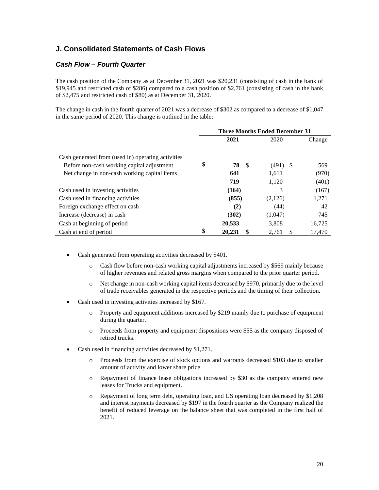## **J. Consolidated Statements of Cash Flows**

### *Cash Flow – Fourth Quarter*

The cash position of the Company as at December 31, 2021 was \$20,231 (consisting of cash in the bank of \$19,945 and restricted cash of \$286) compared to a cash position of \$2,761 (consisting of cash in the bank of \$2,475 and restricted cash of \$80) as at December 31, 2020.

The change in cash in the fourth quarter of 2021 was a decrease of \$302 as compared to a decrease of \$1,047 in the same period of 2020. This change is outlined in the table:

|                                                    |                    | <b>Three Months Ended December 31</b> |        |
|----------------------------------------------------|--------------------|---------------------------------------|--------|
|                                                    | 2021               | 2020                                  | Change |
|                                                    |                    |                                       |        |
| Cash generated from (used in) operating activities |                    |                                       |        |
| Before non-cash working capital adjustment         | \$<br>78<br>- \$   | (491)<br>- \$                         | 569    |
| Net change in non-cash working capital items       | 641                | 1.611                                 | (970)  |
|                                                    | 719                | 1,120                                 | (401)  |
| Cash used in investing activities                  | (164)              | 3                                     | (167)  |
| Cash used in financing activities                  | (855)              | (2,126)                               | 1,271  |
| Foreign exchange effect on cash                    | (2)                | (44)                                  | 42     |
| Increase (decrease) in cash                        | (302)              | (1,047)                               | 745    |
| Cash at beginning of period                        | 20,533             | 3.808                                 | 16,725 |
| Cash at end of period                              | \$<br>20.231<br>\$ | \$<br>2.761                           | 17.470 |

- Cash generated from operating activities decreased by \$401.
	- o Cash flow before non-cash working capital adjustments increased by \$569 mainly because of higher revenues and related gross margins when compared to the prior quarter period.
	- o Net change in non-cash working capital items decreased by \$970, primarily due to the level of trade receivables generated in the respective periods and the timing of their collection.
- Cash used in investing activities increased by \$167.
	- o Property and equipment additions increased by \$219 mainly due to purchase of equipment during the quarter.
	- o Proceeds from property and equipment dispositions were \$55 as the company disposed of retired trucks.
- Cash used in financing activities decreased by \$1,271.
	- o Proceeds from the exercise of stock options and warrants decreased \$103 due to smaller amount of activity and lower share price
	- o Repayment of finance lease obligations increased by \$30 as the company entered new leases for Trucks and equipment.
	- o Repayment of long term debt, operating loan, and US operating loan decreased by \$1,208 and interest payments decreased by \$197 in the fourth quarter as the Company realized the benefit of reduced leverage on the balance sheet that was completed in the first half of 2021.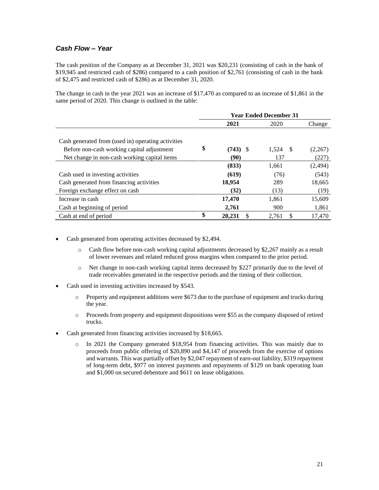### *Cash Flow – Year*

The cash position of the Company as at December 31, 2021 was \$20,231 (consisting of cash in the bank of \$19,945 and restricted cash of \$286) compared to a cash position of \$2,761 (consisting of cash in the bank of \$2,475 and restricted cash of \$286) as at December 31, 2020.

The change in cash in the year 2021 was an increase of \$17,470 as compared to an increase of \$1,861 in the same period of 2020. This change is outlined in the table:

|                                                    |                    | <b>Year Ended December 31</b> |          |
|----------------------------------------------------|--------------------|-------------------------------|----------|
|                                                    | 2021               | 2020                          | Change   |
|                                                    |                    |                               |          |
| Cash generated from (used in) operating activities |                    |                               |          |
| Before non-cash working capital adjustment         | \$<br>$(743)$ \$   | 1,524<br>-\$                  | (2,267)  |
| Net change in non-cash working capital items       | (90)               | 137                           | (227)    |
|                                                    | (833)              | 1,661                         | (2, 494) |
| Cash used in investing activities                  | (619)              | (76)                          | (543)    |
| Cash generated from financing activities           | 18,954             | 289                           | 18,665   |
| Foreign exchange effect on cash                    | (32)               | (13)                          | (19)     |
| Increase in cash                                   | 17,470             | 1,861                         | 15,609   |
| Cash at beginning of period                        | 2,761              | 900                           | 1,861    |
| Cash at end of period                              | \$<br>20.231<br>\$ | \$<br>2.761                   | 17,470   |

- Cash generated from operating activities decreased by \$2,494.
	- o Cash flow before non-cash working capital adjustments decreased by \$2,267 mainly as a result of lower revenues and related reduced gross margins when compared to the prior period.
	- o Net change in non-cash working capital items decreased by \$227 primarily due to the level of trade receivables generated in the respective periods and the timing of their collection.
- Cash used in investing activities increased by \$543.
	- o Property and equipment additions were \$673 due to the purchase of equipment and trucks during the year.
	- o Proceeds from property and equipment dispositions were \$55 as the company disposed of retired trucks.
- Cash generated from financing activities increased by \$18,665.
	- o In 2021 the Company generated \$18,954 from financing activities. This was mainly due to proceeds from public offering of \$20,890 and \$4,147 of proceeds from the exercise of options and warrants. This was partially offset by \$2,047 repayment of earn-out liability, \$319 repayment of long-term debt, \$977 on interest payments and repayments of \$129 on bank operating loan and \$1,000 on secured debenture and \$611 on lease obligations.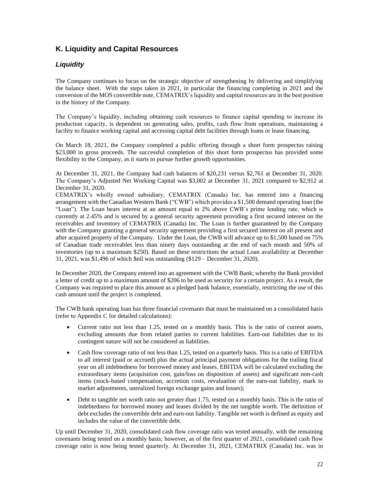### **K. Liquidity and Capital Resources**

### *Liquidity*

The Company continues to focus on the strategic objective of strengthening by delivering and simplifying the balance sheet. With the steps taken in 2021, in particular the financing completing in 2021 and the conversion of the MOS convertible note, CEMATRIX's liquidity and capital resources are in the best position in the history of the Company.

The Company's liquidity, including obtaining cash resources to finance capital spending to increase its production capacity, is dependent on generating sales, profits, cash flow from operations, maintaining a facility to finance working capital and accessing capital debt facilities through loans or lease financing.

On March 18, 2021, the Company completed a public offering through a short form prospectus raising \$23,000 in gross proceeds. The successful completion of this short form prospectus has provided some flexibility to the Company, as it starts to pursue further growth opportunities.

At December 31, 2021, the Company had cash balances of \$20,231 versus \$2,761 at December 31, 2020. The Company's Adjusted Net Working Capital was \$3,002 at December 31, 2021 compared to \$2,912 at December 31, 2020.

CEMATRIX's wholly owned subsidiary, CEMATRIX (Canada) Inc. has entered into a financing arrangement with the Canadian Western Bank ("CWB") which provides a \$1,500 demand operating loan (the "Loan"). The Loan bears interest at an amount equal to 2% above CWB's prime lending rate, which is currently at 2.45% and is secured by a general security agreement providing a first secured interest on the receivables and inventory of CEMATRIX (Canada) Inc. The Loan is further guaranteed by the Company with the Company granting a general security agreement providing a first secured interest on all present and after acquired property of the Company. Under the Loan, the CWB will advance up to \$1,500 based on 75% of Canadian trade receivables less than ninety days outstanding at the end of each month and 50% of inventories (up to a maximum \$250). Based on these restrictions the actual Loan availability at December 31, 2021, was \$1,496 of which \$nil was outstanding (\$129 – December 31, 2020).

In December 2020, the Company entered into an agreement with the CWB Bank; whereby the Bank provided a letter of credit up to a maximum amount of \$206 to be used as security for a certain project. As a result, the Company was required to place this amount as a pledged bank balance, essentially, restricting the use of this cash amount until the project is completed.

The CWB bank operating loan has three financial covenants that must be maintained on a consolidated basis (refer to Appendix C for detailed calculations):

- Current ratio not less than 1.25, tested on a monthly basis. This is the ratio of current assets, excluding amounts due from related parties to current liabilities. Earn-out liabilities due to its contingent nature will not be considered as liabilities.
- Cash flow coverage ratio of not less than 1.25, tested on a quarterly basis. This is a ratio of EBITDA to all interest (paid or accrued) plus the actual principal payment obligations for the trailing fiscal year on all indebtedness for borrowed money and leases. EBITDA will be calculated excluding the extraordinary items (acquisition cost, gain/loss on disposition of assets) and significant non-cash items (stock-based compensation, accretion costs, revaluation of the earn-out liability, mark to market adjustments, unrealized foreign exchange gains and losses);
- Debt to tangible net worth ratio not greater than 1.75, tested on a monthly basis. This is the ratio of indebtedness for borrowed money and leases divided by the net tangible worth. The definition of debt excludes the convertible debt and earn-out liability. Tangible net worth is defined as equity and includes the value of the convertible debt.

Up until December 31, 2020, consolidated cash flow coverage ratio was tested annually, with the remaining covenants being tested on a monthly basis; however, as of the first quarter of 2021, consolidated cash flow coverage ratio is now being tested quarterly. At December 31, 2021, CEMATRIX (Canada) Inc. was in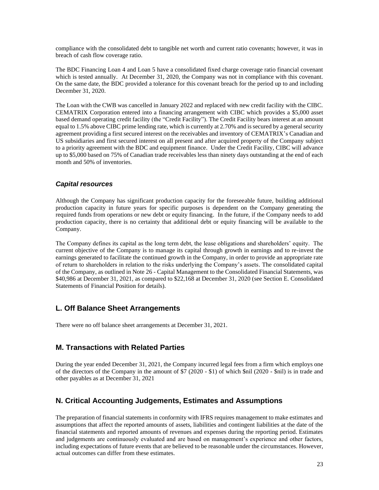compliance with the consolidated debt to tangible net worth and current ratio covenants; however, it was in breach of cash flow coverage ratio.

The BDC Financing Loan 4 and Loan 5 have a consolidated fixed charge coverage ratio financial covenant which is tested annually. At December 31, 2020, the Company was not in compliance with this covenant. On the same date, the BDC provided a tolerance for this covenant breach for the period up to and including December 31, 2020.

The Loan with the CWB was cancelled in January 2022 and replaced with new credit facility with the CIBC. CEMATRIX Corporation entered into a financing arrangement with CIBC which provides a \$5,000 asset based demand operating credit facility (the "Credit Facility"). The Credit Facility bears interest at an amount equal to 1.5% above CIBC prime lending rate, which is currently at 2.70% and is secured by a general security agreement providing a first secured interest on the receivables and inventory of CEMATRIX's Canadian and US subsidiaries and first secured interest on all present and after acquired property of the Company subject to a priority agreement with the BDC and equipment finance. Under the Credit Facility, CIBC will advance up to \$5,000 based on 75% of Canadian trade receivables less than ninety days outstanding at the end of each month and 50% of inventories.

#### *Capital resources*

Although the Company has significant production capacity for the foreseeable future, building additional production capacity in future years for specific purposes is dependent on the Company generating the required funds from operations or new debt or equity financing. In the future, if the Company needs to add production capacity, there is no certainty that additional debt or equity financing will be available to the Company.

The Company defines its capital as the long term debt, the lease obligations and shareholders' equity. The current objective of the Company is to manage its capital through growth in earnings and to re-invest the earnings generated to facilitate the continued growth in the Company, in order to provide an appropriate rate of return to shareholders in relation to the risks underlying the Company's assets. The consolidated capital of the Company, as outlined in Note 26 - Capital Management to the Consolidated Financial Statements, was \$40,986 at December 31, 2021, as compared to \$22,168 at December 31, 2020 (see Section E. Consolidated Statements of Financial Position for details).

### **L. Off Balance Sheet Arrangements**

There were no off balance sheet arrangements at December 31, 2021.

### **M. Transactions with Related Parties**

During the year ended December 31, 2021, the Company incurred legal fees from a firm which employs one of the directors of the Company in the amount of \$7 (2020 - \$1) of which \$nil (2020 - \$nil) is in trade and other payables as at December 31, 2021

### **N. Critical Accounting Judgements, Estimates and Assumptions**

The preparation of financial statements in conformity with IFRS requires management to make estimates and assumptions that affect the reported amounts of assets, liabilities and contingent liabilities at the date of the financial statements and reported amounts of revenues and expenses during the reporting period. Estimates and judgements are continuously evaluated and are based on management's experience and other factors, including expectations of future events that are believed to be reasonable under the circumstances. However, actual outcomes can differ from these estimates.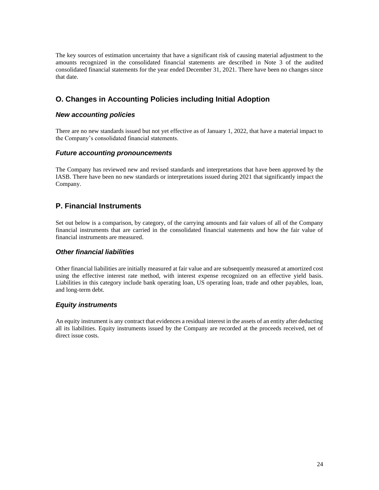The key sources of estimation uncertainty that have a significant risk of causing material adjustment to the amounts recognized in the consolidated financial statements are described in Note 3 of the audited consolidated financial statements for the year ended December 31, 2021. There have been no changes since that date.

### **O. Changes in Accounting Policies including Initial Adoption**

#### *New accounting policies*

There are no new standards issued but not yet effective as of January 1, 2022, that have a material impact to the Company's consolidated financial statements.

#### *Future accounting pronouncements*

The Company has reviewed new and revised standards and interpretations that have been approved by the IASB. There have been no new standards or interpretations issued during 2021 that significantly impact the Company.

### **P. Financial Instruments**

Set out below is a comparison, by category, of the carrying amounts and fair values of all of the Company financial instruments that are carried in the consolidated financial statements and how the fair value of financial instruments are measured.

### *Other financial liabilities*

Other financial liabilities are initially measured at fair value and are subsequently measured at amortized cost using the effective interest rate method, with interest expense recognized on an effective yield basis. Liabilities in this category include bank operating loan, US operating loan, trade and other payables, loan, and long-term debt.

### *Equity instruments*

An equity instrument is any contract that evidences a residual interest in the assets of an entity after deducting all its liabilities. Equity instruments issued by the Company are recorded at the proceeds received, net of direct issue costs.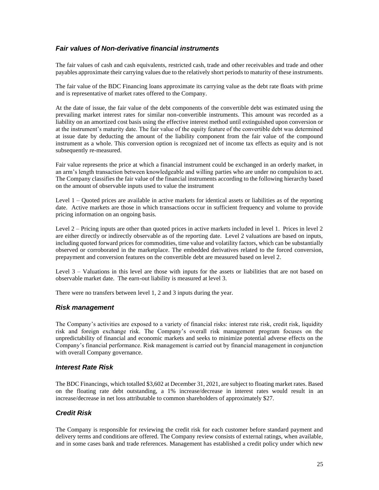### *Fair values of Non-derivative financial instruments*

The fair values of cash and cash equivalents, restricted cash, trade and other receivables and trade and other payables approximate their carrying values due to the relatively short periods to maturity of these instruments.

The fair value of the BDC Financing loans approximate its carrying value as the debt rate floats with prime and is representative of market rates offered to the Company.

At the date of issue, the fair value of the debt components of the convertible debt was estimated using the prevailing market interest rates for similar non-convertible instruments. This amount was recorded as a liability on an amortized cost basis using the effective interest method until extinguished upon conversion or at the instrument's maturity date. The fair value of the equity feature of the convertible debt was determined at issue date by deducting the amount of the liability component from the fair value of the compound instrument as a whole. This conversion option is recognized net of income tax effects as equity and is not subsequently re-measured.

Fair value represents the price at which a financial instrument could be exchanged in an orderly market, in an arm's length transaction between knowledgeable and willing parties who are under no compulsion to act. The Company classifies the fair value of the financial instruments according to the following hierarchy based on the amount of observable inputs used to value the instrument

Level 1 – Quoted prices are available in active markets for identical assets or liabilities as of the reporting date. Active markets are those in which transactions occur in sufficient frequency and volume to provide pricing information on an ongoing basis.

Level 2 – Pricing inputs are other than quoted prices in active markets included in level 1. Prices in level 2 are either directly or indirectly observable as of the reporting date. Level 2 valuations are based on inputs, including quoted forward prices for commodities, time value and volatility factors, which can be substantially observed or corroborated in the marketplace. The embedded derivatives related to the forced conversion, prepayment and conversion features on the convertible debt are measured based on level 2.

Level 3 – Valuations in this level are those with inputs for the assets or liabilities that are not based on observable market date. The earn-out liability is measured at level 3.

There were no transfers between level 1, 2 and 3 inputs during the year.

### *Risk management*

The Company's activities are exposed to a variety of financial risks: interest rate risk, credit risk, liquidity risk and foreign exchange risk. The Company's overall risk management program focuses on the unpredictability of financial and economic markets and seeks to minimize potential adverse effects on the Company's financial performance. Risk management is carried out by financial management in conjunction with overall Company governance.

### *Interest Rate Risk*

The BDC Financings, which totalled \$3,602 at December 31, 2021, are subject to floating market rates. Based on the floating rate debt outstanding, a 1% increase/decrease in interest rates would result in an increase/decrease in net loss attributable to common shareholders of approximately \$27.

### *Credit Risk*

The Company is responsible for reviewing the credit risk for each customer before standard payment and delivery terms and conditions are offered. The Company review consists of external ratings, when available, and in some cases bank and trade references. Management has established a credit policy under which new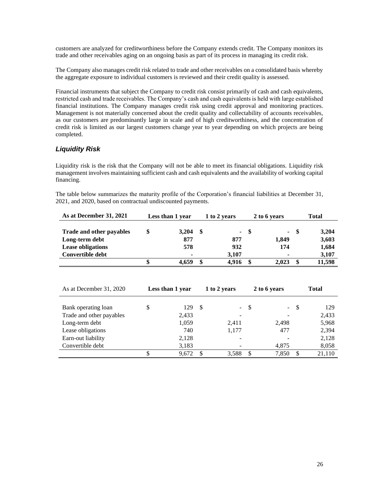customers are analyzed for creditworthiness before the Company extends credit. The Company monitors its trade and other receivables aging on an ongoing basis as part of its process in managing its credit risk.

The Company also manages credit risk related to trade and other receivables on a consolidated basis whereby the aggregate exposure to individual customers is reviewed and their credit quality is assessed.

Financial instruments that subject the Company to credit risk consist primarily of cash and cash equivalents, restricted cash and trade receivables. The Company's cash and cash equivalents is held with large established financial institutions. The Company manages credit risk using credit approval and monitoring practices. Management is not materially concerned about the credit quality and collectability of accounts receivables, as our customers are predominantly large in scale and of high creditworthiness, and the concentration of credit risk is limited as our largest customers change year to year depending on which projects are being completed.

### *Liquidity Risk*

Liquidity risk is the risk that the Company will not be able to meet its financial obligations. Liquidity risk management involves maintaining sufficient cash and cash equivalents and the availability of working capital financing.

The table below summarizes the maturity profile of the Corporation's financial liabilities at December 31, 2021, and 2020, based on contractual undiscounted payments.

| As at December 31, 2021  | Less than 1 year |      | Total<br>2 to 6 years<br>1 to 2 years |      |        |    |        |
|--------------------------|------------------|------|---------------------------------------|------|--------|----|--------|
|                          |                  |      |                                       |      |        |    |        |
| Trade and other payables | \$<br>3.204      | - \$ |                                       | - \$ | $\sim$ | -8 | 3,204  |
| Long-term debt           | 877              |      | 877                                   |      | 1,849  |    | 3,603  |
| <b>Lease obligations</b> | 578              |      | 932                                   |      | 174    |    | 1,684  |
| Convertible debt         |                  |      | 3.107                                 |      |        |    | 3,107  |
|                          | 4.659            | \$   | 4.916                                 |      | 2.023  |    | 11.598 |

| As at December 31, 2020  | Less than 1 year |    | 1 to 2 years |      | 2 to 6 years   |    | <b>Total</b> |
|--------------------------|------------------|----|--------------|------|----------------|----|--------------|
| Bank operating loan      | \$<br>129        | -S |              | $-5$ | $\sim 10^{-1}$ | -S | 129          |
| Trade and other payables | 2,433            |    |              |      |                |    | 2,433        |
| Long-term debt           | 1,059            |    | 2,411        |      | 2,498          |    | 5,968        |
| Lease obligations        | 740              |    | 1,177        |      | 477            |    | 2,394        |
| Earn-out liability       | 2,128            |    |              |      |                |    | 2,128        |
| Convertible debt         | 3,183            |    |              |      | 4,875          |    | 8,058        |
|                          | 9,672            | \$ | 3,588        |      | 7,850          | \$ | 21,110       |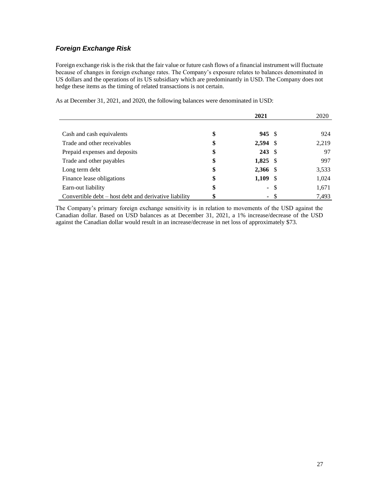### *Foreign Exchange Risk*

Foreign exchange risk is the risk that the fair value or future cash flows of a financial instrument will fluctuate because of changes in foreign exchange rates. The Company's exposure relates to balances denominated in US dollars and the operations of its US subsidiary which are predominantly in USD. The Company does not hedge these items as the timing of related transactions is not certain.

As at December 31, 2021, and 2020, the following balances were denominated in USD:

|                                                       | 2021                    |      | 2020  |
|-------------------------------------------------------|-------------------------|------|-------|
|                                                       |                         |      |       |
| Cash and cash equivalents                             | \$<br>$945 \text{ }$ \$ |      | 924   |
| Trade and other receivables                           | \$<br>$2,594$ \$        |      | 2,219 |
| Prepaid expenses and deposits                         | \$<br>$243 \text{ }$    |      | 97    |
| Trade and other payables                              | \$<br>$1,825$ \$        |      | 997   |
| Long term debt                                        | \$<br>2,366 \$          |      | 3,533 |
| Finance lease obligations                             | \$<br>$1,109$ \$        |      | 1,024 |
| Earn-out liability                                    | \$<br>$\blacksquare$    | -S   | 1,671 |
| Convertible debt – host debt and derivative liability | \$                      | - \$ | 7,493 |

The Company's primary foreign exchange sensitivity is in relation to movements of the USD against the Canadian dollar. Based on USD balances as at December 31, 2021, a 1% increase/decrease of the USD against the Canadian dollar would result in an increase/decrease in net loss of approximately \$73.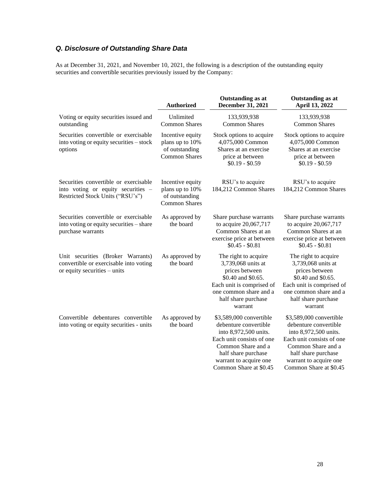## *Q. Disclosure of Outstanding Share Data*

As at December 31, 2021, and November 10, 2021, the following is a description of the outstanding equity securities and convertible securities previously issued by the Company:

|                                                                                                                 | <b>Authorized</b>                                                             | Outstanding as at<br>December 31, 2021                                                                                                                                                                  | Outstanding as at<br>April 13, 2022                                                                                                                                                                     |
|-----------------------------------------------------------------------------------------------------------------|-------------------------------------------------------------------------------|---------------------------------------------------------------------------------------------------------------------------------------------------------------------------------------------------------|---------------------------------------------------------------------------------------------------------------------------------------------------------------------------------------------------------|
| Voting or equity securities issued and<br>outstanding                                                           | Unlimited<br><b>Common Shares</b>                                             | 133,939,938<br><b>Common Shares</b>                                                                                                                                                                     | 133,939,938<br><b>Common Shares</b>                                                                                                                                                                     |
| Securities convertible or exercisable<br>into voting or equity securities - stock<br>options                    | Incentive equity<br>plans up to 10%<br>of outstanding<br><b>Common Shares</b> | Stock options to acquire<br>4,075,000 Common<br>Shares at an exercise<br>price at between<br>$$0.19 - $0.59$                                                                                            | Stock options to acquire<br>4,075,000 Common<br>Shares at an exercise<br>price at between<br>$$0.19 - $0.59$                                                                                            |
| Securities convertible or exercisable<br>into voting or equity securities -<br>Restricted Stock Units ("RSU's") | Incentive equity<br>plans up to 10%<br>of outstanding<br><b>Common Shares</b> | RSU's to acquire<br>184,212 Common Shares                                                                                                                                                               | RSU's to acquire<br>184,212 Common Shares                                                                                                                                                               |
| Securities convertible or exercisable<br>into voting or equity securities - share<br>purchase warrants          | As approved by<br>the board                                                   | Share purchase warrants<br>to acquire 20,067,717<br>Common Shares at an<br>exercise price at between<br>$$0.45 - $0.81$                                                                                 | Share purchase warrants<br>to acquire 20,067,717<br>Common Shares at an<br>exercise price at between<br>$$0.45 - $0.81$                                                                                 |
| Unit securities (Broker Warrants)<br>convertible or exercisable into voting<br>or equity securities - units     | As approved by<br>the board                                                   | The right to acquire<br>3,739,068 units at<br>prices between<br>\$0.40 and \$0.65.<br>Each unit is comprised of<br>one common share and a<br>half share purchase<br>warrant                             | The right to acquire<br>3,739,068 units at<br>prices between<br>\$0.40 and \$0.65.<br>Each unit is comprised of<br>one common share and a<br>half share purchase<br>warrant                             |
| Convertible debentures convertible<br>into voting or equity securities - units                                  | As approved by<br>the board                                                   | \$3,589,000 convertible<br>debenture convertible<br>into 8,972,500 units.<br>Each unit consists of one<br>Common Share and a<br>half share purchase<br>warrant to acquire one<br>Common Share at \$0.45 | \$3,589,000 convertible<br>debenture convertible<br>into 8,972,500 units.<br>Each unit consists of one<br>Common Share and a<br>half share purchase<br>warrant to acquire one<br>Common Share at \$0.45 |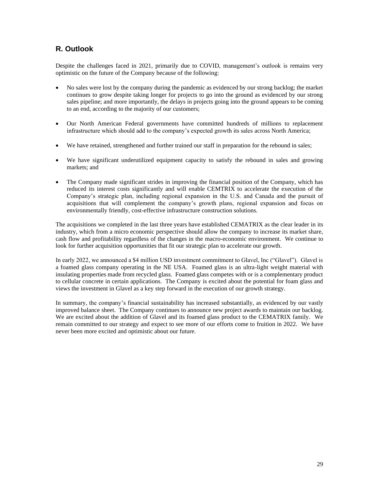### **R. Outlook**

Despite the challenges faced in 2021, primarily due to COVID, management's outlook is remains very optimistic on the future of the Company because of the following:

- No sales were lost by the company during the pandemic as evidenced by our strong backlog; the market continues to grow despite taking longer for projects to go into the ground as evidenced by our strong sales pipeline; and more importantly, the delays in projects going into the ground appears to be coming to an end, according to the majority of our customers;
- Our North American Federal governments have committed hundreds of millions to replacement infrastructure which should add to the company's expected growth its sales across North America;
- We have retained, strengthened and further trained our staff in preparation for the rebound in sales;
- We have significant underutilized equipment capacity to satisfy the rebound in sales and growing markets; and
- The Company made significant strides in improving the financial position of the Company, which has reduced its interest costs significantly and will enable CEMTRIX to accelerate the execution of the Company's strategic plan, including regional expansion in the U.S. and Canada and the pursuit of acquisitions that will complement the company's growth plans, regional expansion and focus on environmentally friendly, cost-effective infrastructure construction solutions.

The acquisitions we completed in the last three years have established CEMATRIX as the clear leader in its industry, which from a micro economic perspective should allow the company to increase its market share, cash flow and profitability regardless of the changes in the macro-economic environment. We continue to look for further acquisition opportunities that fit our strategic plan to accelerate our growth.

In early 2022, we announced a \$4 million USD investment commitment to Glavel, Inc ("Glavel"). Glavel is a foamed glass company operating in the NE USA. Foamed glass is an ultra-light weight material with insulating properties made from recycled glass. Foamed glass competes with or is a complementary product to cellular concrete in certain applications. The Company is excited about the potential for foam glass and views the investment in Glavel as a key step forward in the execution of our growth strategy.

In summary, the company's financial sustainability has increased substantially, as evidenced by our vastly improved balance sheet. The Company continues to announce new project awards to maintain our backlog. We are excited about the addition of Glavel and its foamed glass product to the CEMATRIX family. We remain committed to our strategy and expect to see more of our efforts come to fruition in 2022. We have never been more excited and optimistic about our future.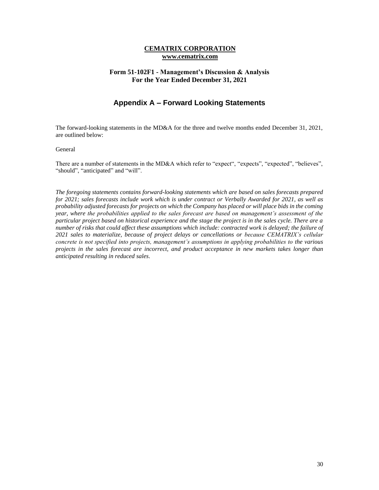#### **CEMATRIX CORPORATION www.cematrix.com**

### **Form 51-102F1 - Management's Discussion & Analysis For the Year Ended December 31, 2021**

### **Appendix A – Forward Looking Statements**

The forward-looking statements in the MD&A for the three and twelve months ended December 31, 2021, are outlined below:

#### General

There are a number of statements in the MD&A which refer to "expect", "expects", "expected", "believes", "should", "anticipated" and "will".

*The foregoing statements contains forward-looking statements which are based on sales forecasts prepared for 2021; sales forecasts include work which is under contract or Verbally Awarded for 2021, as well as probability adjusted forecasts for projects on which the Company has placed or will place bids in the coming year, where the probabilities applied to the sales forecast are based on management's assessment of the particular project based on historical experience and the stage the project is in the sales cycle. There are a number of risks that could affect these assumptions which include: contracted work is delayed; the failure of 2021 sales to materialize, because of project delays or cancellations or because CEMATRIX's cellular concrete is not specified into projects, management's assumptions in applying probabilities to the various projects in the sales forecast are incorrect, and product acceptance in new markets takes longer than anticipated resulting in reduced sales.*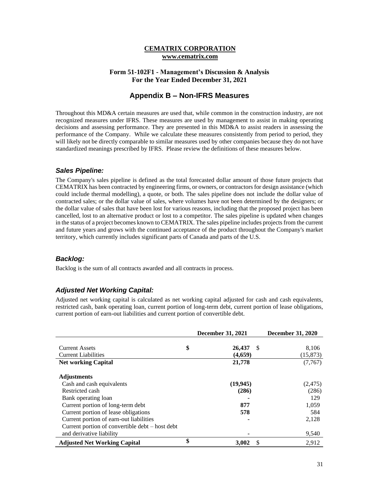#### **CEMATRIX CORPORATION www.cematrix.com**

### **Form 51-102F1 - Management's Discussion & Analysis For the Year Ended December 31, 2021**

### **Appendix B – Non-IFRS Measures**

Throughout this MD&A certain measures are used that, while common in the construction industry, are not recognized measures under IFRS. These measures are used by management to assist in making operating decisions and assessing performance. They are presented in this MD&A to assist readers in assessing the performance of the Company. While we calculate these measures consistently from period to period, they will likely not be directly comparable to similar measures used by other companies because they do not have standardized meanings prescribed by IFRS. Please review the definitions of these measures below.

#### *Sales Pipeline:*

The Company's sales pipeline is defined as the total forecasted dollar amount of those future projects that CEMATRIX has been contracted by engineering firms, or owners, or contractors for design assistance (which could include thermal modelling), a quote, or both. The sales pipeline does not include the dollar value of contracted sales; or the dollar value of sales, where volumes have not been determined by the designers; or the dollar value of sales that have been lost for various reasons, including that the proposed project has been cancelled, lost to an alternative product or lost to a competitor. The sales pipeline is updated when changes in the status of a project becomes known to CEMATRIX. The sales pipeline includes projects from the current and future years and grows with the continued acceptance of the product throughout the Company's market territory, which currently includes significant parts of Canada and parts of the U.S.

#### *Backlog:*

Backlog is the sum of all contracts awarded and all contracts in process.

### *Adjusted Net Working Capital:*

Adjusted net working capital is calculated as net working capital adjusted for cash and cash equivalents, restricted cash, bank operating loan, current portion of long-term debt, current portion of lease obligations, current portion of earn-out liabilities and current portion of convertible debt.

|                                                   | <b>December 31, 2021</b> | <b>December 31, 2020</b> |
|---------------------------------------------------|--------------------------|--------------------------|
|                                                   |                          |                          |
| \$<br><b>Current Assets</b>                       | 26,437<br>-S             | 8,106                    |
| <b>Current Liabilities</b>                        | (4,659)                  | (15, 873)                |
| <b>Net working Capital</b>                        | 21,778                   | (7,767)                  |
|                                                   |                          |                          |
| <b>Adjustments</b>                                |                          |                          |
| Cash and cash equivalents                         | (19, 945)                | (2, 475)                 |
| Restricted cash                                   | (286)                    | (286)                    |
| Bank operating loan                               |                          | 129                      |
| Current portion of long-term debt                 | 877                      | 1,059                    |
| Current portion of lease obligations              | 578                      | 584                      |
| Current portion of earn-out liabilities           |                          | 2,128                    |
| Current portion of convertible $debt - host debt$ |                          |                          |
| and derivative liability                          |                          | 9,540                    |
| \$<br><b>Adjusted Net Working Capital</b>         | 3.002                    | 2.912                    |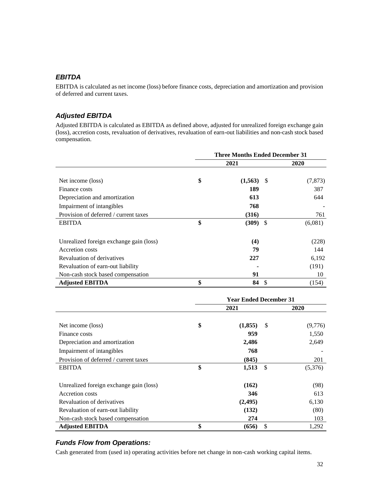### *EBITDA*

EBITDA is calculated as net income (loss) before finance costs, depreciation and amortization and provision of deferred and current taxes.

### *Adjusted EBITDA*

Adjusted EBITDA is calculated as EBITDA as defined above, adjusted for unrealized foreign exchange gain (loss), accretion costs, revaluation of derivatives, revaluation of earn-out liabilities and non-cash stock based compensation.

|                                         | <b>Three Months Ended December 31</b> |              |      |             |
|-----------------------------------------|---------------------------------------|--------------|------|-------------|
|                                         |                                       | 2021         |      | <b>2020</b> |
| Net income (loss)                       | \$                                    | $(1,563)$ \$ |      | (7, 873)    |
| Finance costs                           |                                       | 189          |      | 387         |
| Depreciation and amortization           |                                       | 613          |      | 644         |
| Impairment of intangibles               |                                       | 768          |      |             |
| Provision of deferred / current taxes   |                                       | (316)        |      | 761         |
| <b>EBITDA</b>                           | \$                                    | (309)        | - \$ | (6,081)     |
| Unrealized foreign exchange gain (loss) |                                       | (4)          |      | (228)       |
| Accretion costs                         |                                       | 79           |      | 144         |
| Revaluation of derivatives              |                                       | 227          |      | 6,192       |
| Revaluation of earn-out liability       |                                       |              |      | (191)       |
| Non-cash stock based compensation       |                                       | 91           |      | 10          |
| <b>Adjusted EBITDA</b>                  | \$                                    | 84 \$        |      | (154)       |

|                                         | <b>Year Ended December 31</b> |          |    |         |
|-----------------------------------------|-------------------------------|----------|----|---------|
|                                         |                               | 2021     |    | 2020    |
| Net income (loss)                       | \$                            | (1,855)  | \$ | (9,776) |
| Finance costs                           |                               | 959      |    | 1,550   |
| Depreciation and amortization           |                               | 2,486    |    | 2,649   |
| Impairment of intangibles               |                               | 768      |    |         |
| Provision of deferred / current taxes   |                               | (845)    |    | 201     |
| <b>EBITDA</b>                           | \$                            | 1,513    | -S | (5,376) |
| Unrealized foreign exchange gain (loss) |                               | (162)    |    | (98)    |
| Accretion costs                         |                               | 346      |    | 613     |
| Revaluation of derivatives              |                               | (2, 495) |    | 6,130   |
| Revaluation of earn-out liability       |                               | (132)    |    | (80)    |
| Non-cash stock based compensation       |                               | 274      |    | 103     |
| <b>Adjusted EBITDA</b>                  | \$                            | (656)    | \$ | 1,292   |

### *Funds Flow from Operations:*

Cash generated from (used in) operating activities before net change in non-cash working capital items.